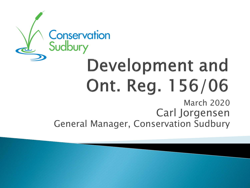### Conservation Sudbury Development and Ont. Reg. 156/06 March 2020

Carl Jorgensen General Manager, Conservation Sudbury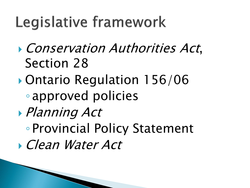# Legislative framework

- Conservation Authorities Act, Section 28
- Ontario Regulation 156/06 ◦ approved policies
- Planning Act
	- Provincial Policy Statement
- Clean Water Act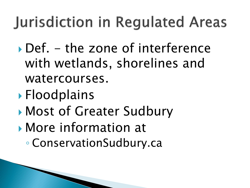# **Jurisdiction in Regulated Areas**

- $\rightarrow$  Def. the zone of interference with wetlands, shorelines and watercourses.
- ▶ Floodplains
- Most of Greater Sudbury
- More information at ◦ ConservationSudbury.ca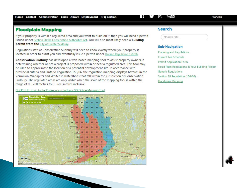### **Floodplain Mapping**

If your property is within a regulated area and you want to build on it, then you will need a permit issued under Section 28 the Conservation Authorities Act. You will also most likely need a **building** permit from the City of Greater Sudbury.

Requlations staff at Conservation Sudbury will need to know exactly where your property is located in order to assist you and eventually issue a permit under Ontario Regulation 156/06.

Conservation Sudbury has developed a web-based mapping tool to assist property owners in determining whether or not a project is proposed within or near a regulated area. This tool may be used to approximate the location of a potential development site. In accordance with provincial criteria and Ontario Regulation 156/06, the regulation mapping displays hazards in the Vermilion, Wanapitei and Whitefish watersheds that fall within the jurisdiction of Conservation Sudbury. The regulated areas are only visible when the scale of the mapping tool is within the range of  $0 - 200$  metres to  $0 - 600$  metres inclusive.

#### CLICK HERE to go to the Conservation Sudbury GIS Online Mapping Tool



#### **Search**

Search Site

#### **Sub-Navigation**

Planning and Regulations Current Fee Schedule **Permit Application Form** Flood Plain Regulations & Your Building Project **Generic Regulations** Section 28 Regulation (156/06) Floodplain Mapping

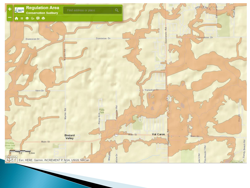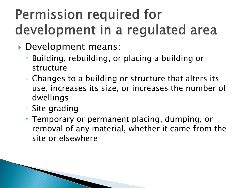## Permission required for development in a regulated area

- Development means:
	- Building, rebuilding, or placing a building or structure
	- Changes to a building or structure that alters its use, increases its size, or increases the number of dwellings
	- Site grading
	- Temporary or permanent placing, dumping, or removal of any material, whether it came from the site or elsewhere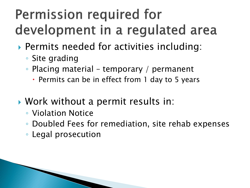## Permission required for development in a regulated area

- Permits needed for activities including:
	- Site grading
	- Placing material temporary / permanent
		- Permits can be in effect from 1 day to 5 years
- Work without a permit results in:
	- Violation Notice
	- Doubled Fees for remediation, site rehab expenses
	- Legal prosecution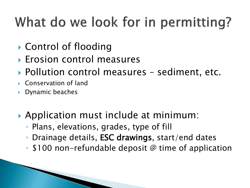# What do we look for in permitting?

- ▶ Control of flooding
- ▶ Erosion control measures
- ▶ Pollution control measures sediment, etc.
- Conservation of land
- Dynamic beaches
- ▶ Application must include at minimum:
	- Plans, elevations, grades, type of fill
	- Drainage details, ESC drawings, start/end dates
	- \$100 non-refundable deposit @ time of application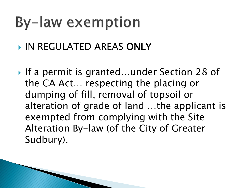# **By-law exemption**

- **IN REGULATED AREAS ONLY**
- ▶ If a permit is granted...under Section 28 of the CA Act… respecting the placing or dumping of fill, removal of topsoil or alteration of grade of land …the applicant is exempted from complying with the Site Alteration By-law (of the City of Greater Sudbury).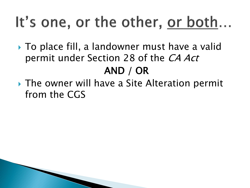# It's one, or the other, or both...

- ▶ To place fill, a landowner must have a valid permit under Section 28 of the CA Act AND / OR
- ▶ The owner will have a Site Alteration permit from the CGS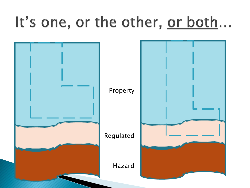# It's one, or the other, or both...

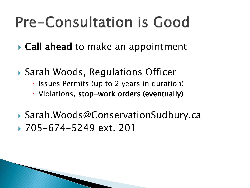# **Pre-Consultation is Good**

- **► Call ahead** to make an appointment
- ▶ Sarah Woods, Regulations Officer
	- Issues Permits (up to 2 years in duration)
	- Violations, stop-work orders (eventually)
- Sarah.Woods@ConservationSudbury.ca 705-674-5249 ext. 201